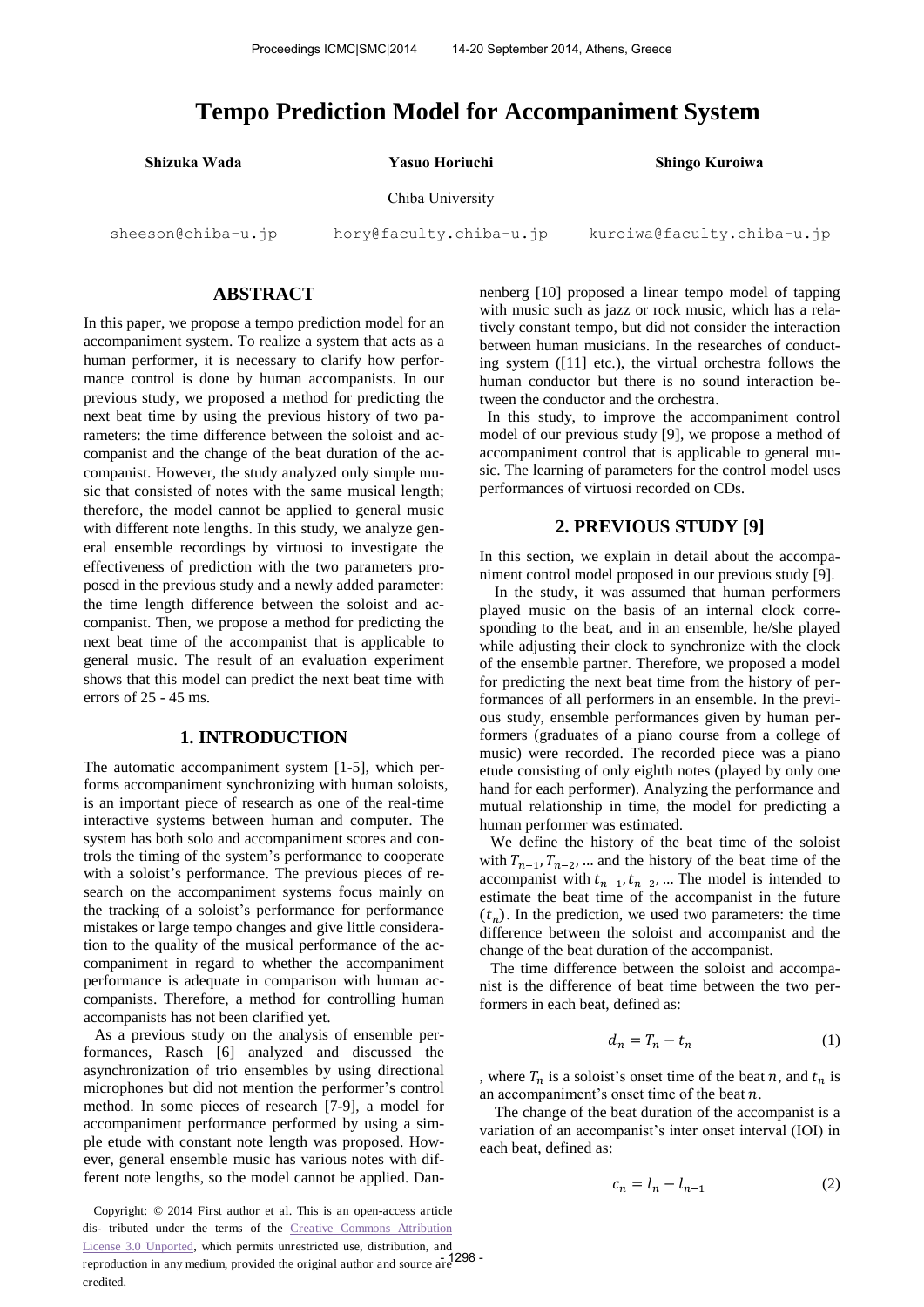# **Tempo Prediction Model for Accompaniment System**

**Shizuka Wada Yasuo Horiuchi Shingo Kuroiwa** 

#### Chiba University

[sheeson@c](mailto:sheeson@)hiba-u.jp

[hory@f](mailto:hory@)aculty.chiba-u.jp [kuroiwa@f](mailto:kuroiwa@)aculty.chiba-u.jp

## **ABSTRACT**

In this paper, we propose a tempo prediction model for an accompaniment system. To realize a system that acts as a human performer, it is necessary to clarify how performance control is done by human accompanists. In our previous study, we proposed a method for predicting the next beat time by using the previous history of two parameters: the time difference between the soloist and accompanist and the change of the beat duration of the accompanist. However, the study analyzed only simple music that consisted of notes with the same musical length; therefore, the model cannot be applied to general music with different note lengths. In this study, we analyze general ensemble recordings by virtuosi to investigate the effectiveness of prediction with the two parameters proposed in the previous study and a newly added parameter: the time length difference between the soloist and accompanist. Then, we propose a method for predicting the next beat time of the accompanist that is applicable to general music. The result of an evaluation experiment shows that this model can predict the next beat time with errors of 25 - 45 ms.

# **1. INTRODUCTION**

The automatic accompaniment system [1-5], which performs accompaniment synchronizing with human soloists, is an important piece of research as one of the real-time interactive systems between human and computer. The system has both solo and accompaniment scores and controls the timing of the system's performance to cooperate with a soloist's performance. The previous pieces of research on the accompaniment systems focus mainly on the tracking of a soloist's performance for performance mistakes or large tempo changes and give little consideration to the quality of the musical performance of the accompaniment in regard to whether the accompaniment performance is adequate in comparison with human accompanists. Therefore, a method for controlling human accompanists has not been clarified yet.

As a previous study on the analysis of ensemble performances, Rasch [6] analyzed and discussed the asynchronization of trio ensembles by using directional microphones but did not mention the performer's control method. In some pieces of research [7-9], a model for accompaniment performance performed by using a simple etude with constant note length was proposed. However, general ensemble music has various notes with different note lengths, so the model cannot be applied. Dan-

Copyright: © 2014 First author et al. This is an open-access article dis- tributed under the terms of the [Creative Commons Attribution](http://creativecommons.org/licenses/by/3.0/)  [License 3.0 Unported,](http://creativecommons.org/licenses/by/3.0/) which permits unrestricted use, distribution, and reproduction in any medium, provided the original author and source are - 1298 credited.

nenberg [10] proposed a linear tempo model of tapping with music such as jazz or rock music, which has a relatively constant tempo, but did not consider the interaction between human musicians. In the researches of conducting system ([11] etc.), the virtual orchestra follows the human conductor but there is no sound interaction between the conductor and the orchestra.

In this study, to improve the accompaniment control model of our previous study [9], we propose a method of accompaniment control that is applicable to general music. The learning of parameters for the control model uses performances of virtuosi recorded on CDs.

# **2. PREVIOUS STUDY [9]**

In this section, we explain in detail about the accompaniment control model proposed in our previous study [9].

 In the study, it was assumed that human performers played music on the basis of an internal clock corresponding to the beat, and in an ensemble, he/she played while adjusting their clock to synchronize with the clock of the ensemble partner. Therefore, we proposed a model for predicting the next beat time from the history of performances of all performers in an ensemble. In the previous study, ensemble performances given by human performers (graduates of a piano course from a college of music) were recorded. The recorded piece was a piano etude consisting of only eighth notes (played by only one hand for each performer). Analyzing the performance and mutual relationship in time, the model for predicting a human performer was estimated.

We define the history of the beat time of the soloist with  $T_{n-1}$ ,  $T_{n-2}$ , ... and the history of the beat time of the accompanist with  $t_{n-1}$ ,  $t_{n-2}$ , ... The model is intended to estimate the beat time of the accompanist in the future  $(t_n)$ . In the prediction, we used two parameters: the time difference between the soloist and accompanist and the change of the beat duration of the accompanist.

The time difference between the soloist and accompanist is the difference of beat time between the two performers in each beat, defined as:

$$
d_n = T_n - t_n \tag{1}
$$

, where  $T_n$  is a soloist's onset time of the beat n, and  $t_n$  is an accompaniment's onset time of the beat  $n$ .

 The change of the beat duration of the accompanist is a variation of an accompanist's inter onset interval (IOI) in each beat, defined as:

$$
c_n = l_n - l_{n-1} \tag{2}
$$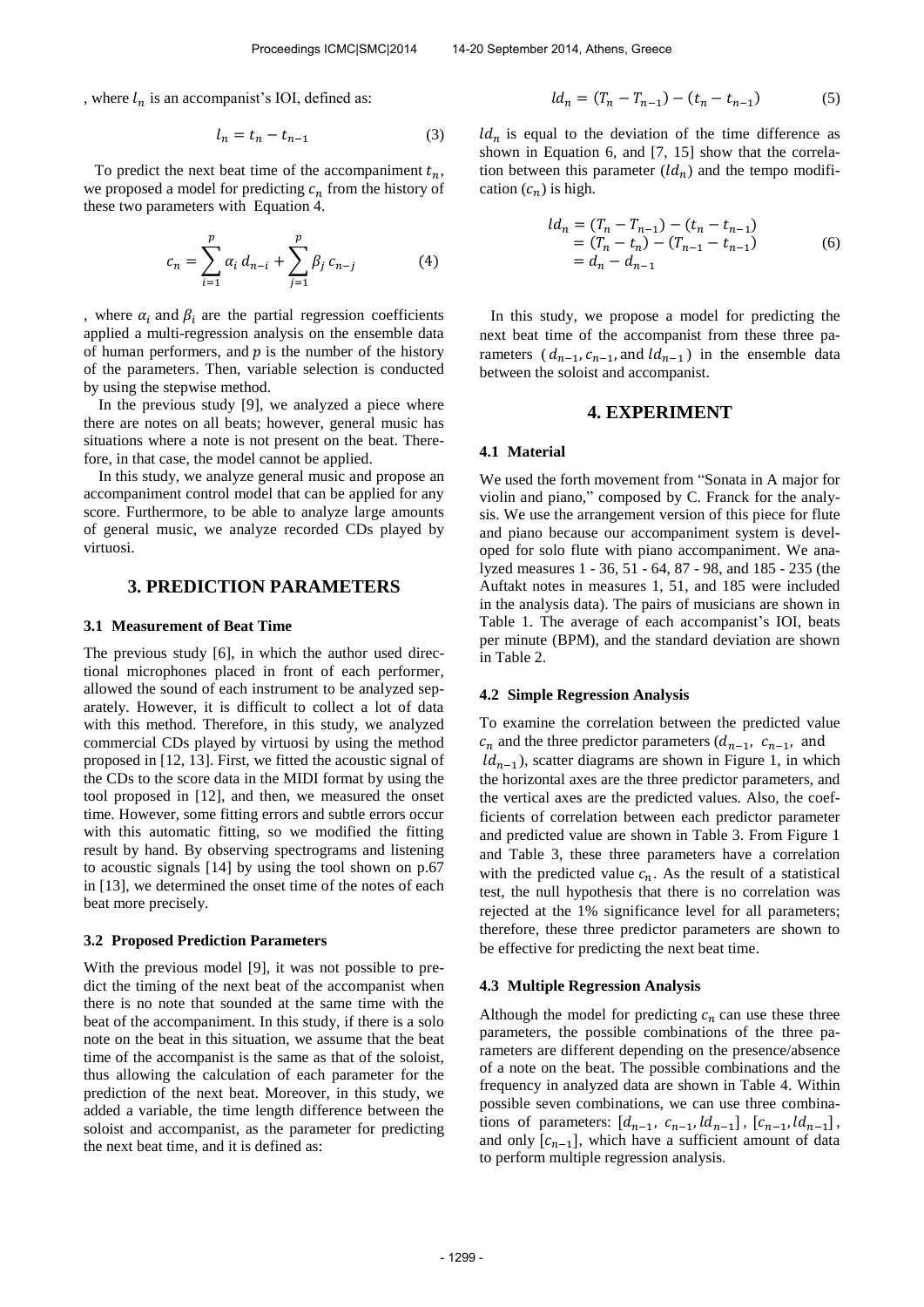, where  $l_n$  is an accompanist's IOI, defined as:

$$
l_n = t_n - t_{n-1} \tag{3}
$$

To predict the next beat time of the accompaniment  $t_n$ , we proposed a model for predicting  $c_n$  from the history of these two parameters with Equation 4.

$$
c_n = \sum_{i=1}^p \alpha_i d_{n-i} + \sum_{j=1}^p \beta_j c_{n-j} \tag{4}
$$

, where  $\alpha_i$  and  $\beta_i$  are the partial regression coefficients applied a multi-regression analysis on the ensemble data of human performers, and  $p$  is the number of the history of the parameters. Then, variable selection is conducted by using the stepwise method.

In the previous study [9], we analyzed a piece where there are notes on all beats; however, general music has situations where a note is not present on the beat. Therefore, in that case, the model cannot be applied.

 In this study, we analyze general music and propose an accompaniment control model that can be applied for any score. Furthermore, to be able to analyze large amounts of general music, we analyze recorded CDs played by virtuosi.

## **3. PREDICTION PARAMETERS**

#### **3.1 Measurement of Beat Time**

The previous study [6], in which the author used directional microphones placed in front of each performer, allowed the sound of each instrument to be analyzed separately. However, it is difficult to collect a lot of data with this method. Therefore, in this study, we analyzed commercial CDs played by virtuosi by using the method proposed in [12, 13]. First, we fitted the acoustic signal of the CDs to the score data in the MIDI format by using the tool proposed in [12], and then, we measured the onset time. However, some fitting errors and subtle errors occur with this automatic fitting, so we modified the fitting result by hand. By observing spectrograms and listening to acoustic signals [14] by using the tool shown on p.67 in [13], we determined the onset time of the notes of each beat more precisely.

#### **3.2 Proposed Prediction Parameters**

With the previous model [9], it was not possible to predict the timing of the next beat of the accompanist when there is no note that sounded at the same time with the beat of the accompaniment. In this study, if there is a solo note on the beat in this situation, we assume that the beat time of the accompanist is the same as that of the soloist, thus allowing the calculation of each parameter for the prediction of the next beat. Moreover, in this study, we added a variable, the time length difference between the soloist and accompanist, as the parameter for predicting the next beat time, and it is defined as:

$$
ld_n = (T_n - T_{n-1}) - (t_n - t_{n-1})
$$
 (5)

 $ld_n$  is equal to the deviation of the time difference as shown in Equation 6, and [7, 15] show that the correlation between this parameter  $\left( \mathcal{U}_n \right)$  and the tempo modification  $(c_n)$  is high.

$$
ld_n = (T_n - T_{n-1}) - (t_n - t_{n-1})
$$
  
=  $(T_n - t_n) - (T_{n-1} - t_{n-1})$   
=  $d_n - d_{n-1}$  (6)

In this study, we propose a model for predicting the next beat time of the accompanist from these three parameters  $(d_{n-1}, c_{n-1},$  and  $ld_{n-1})$  in the ensemble data between the soloist and accompanist.

#### **4. EXPERIMENT**

#### **4.1 Material**

We used the forth movement from "Sonata in A major for violin and piano," composed by C. Franck for the analysis. We use the arrangement version of this piece for flute and piano because our accompaniment system is developed for solo flute with piano accompaniment. We analyzed measures 1 - 36, 51 - 64, 87 - 98, and 185 - 235 (the Auftakt notes in measures 1, 51, and 185 were included in the analysis data). The pairs of musicians are shown in Table 1. The average of each accompanist's IOI, beats per minute (BPM), and the standard deviation are shown in Table 2.

#### **4.2 Simple Regression Analysis**

To examine the correlation between the predicted value  $c_n$  and the three predictor parameters  $(d_{n-1}, c_{n-1})$ , and  $ld_{n-1}$ ), scatter diagrams are shown in Figure 1, in which the horizontal axes are the three predictor parameters, and the vertical axes are the predicted values. Also, the coefficients of correlation between each predictor parameter and predicted value are shown in Table 3. From Figure 1 and Table 3, these three parameters have a correlation with the predicted value  $c_n$ . As the result of a statistical test, the null hypothesis that there is no correlation was rejected at the 1% significance level for all parameters; therefore, these three predictor parameters are shown to be effective for predicting the next beat time.

#### **4.3 Multiple Regression Analysis**

Although the model for predicting  $c_n$  can use these three parameters, the possible combinations of the three parameters are different depending on the presence/absence of a note on the beat. The possible combinations and the frequency in analyzed data are shown in Table 4. Within possible seven combinations, we can use three combinations of parameters:  $[d_{n-1}, c_{n-1}, ld_{n-1}], [c_{n-1}, ld_{n-1}],$ and only  $[c_{n-1}]$ , which have a sufficient amount of data to perform multiple regression analysis.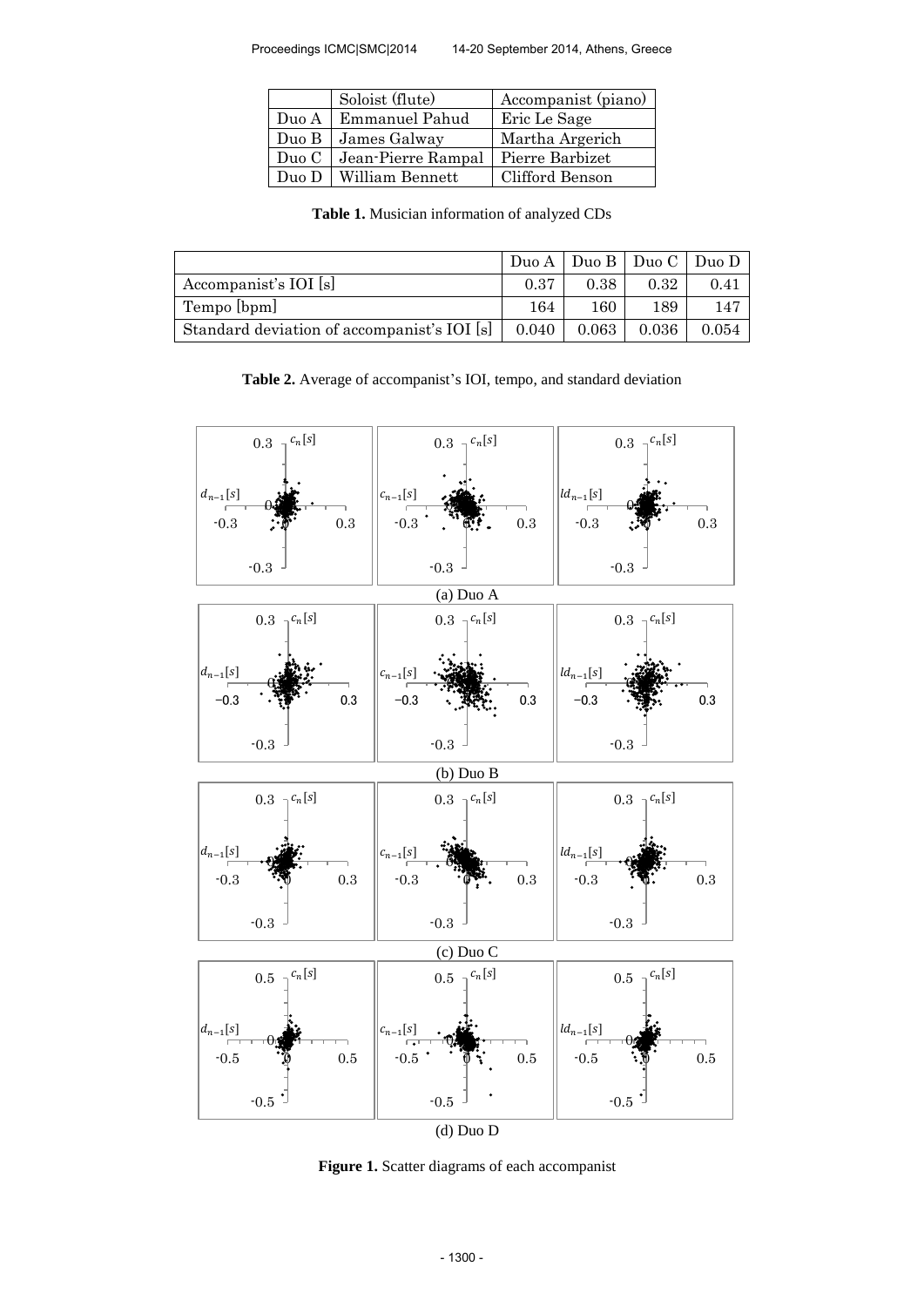|       | Soloist (flute)    | Accompanist (piano) |
|-------|--------------------|---------------------|
| Duo A | Emmanuel Pahud     | Eric Le Sage        |
| Duo B | James Galway       | Martha Argerich     |
| Duo C | Jean-Pierre Rampal | Pierre Barbizet     |
| Duo D | William Bennett    | Clifford Benson     |

**Table 1.** Musician information of analyzed CDs

|                                             |       |           | Duo A   Duo B   Duo C   Duo D |       |
|---------------------------------------------|-------|-----------|-------------------------------|-------|
| Accompanist's IOI [s]                       | 0.37  | 0.38      | 0.32                          | 0.41  |
| Tempo [bpm]                                 | 164   | 160       | 189                           | 147   |
| Standard deviation of accompanist's IOI [s] | 0.040 | $0.063\,$ | 0.036                         | 0.054 |

**Table 2.** Average of accompanist's IOI, tempo, and standard deviation



**Figure 1.** Scatter diagrams of each accompanist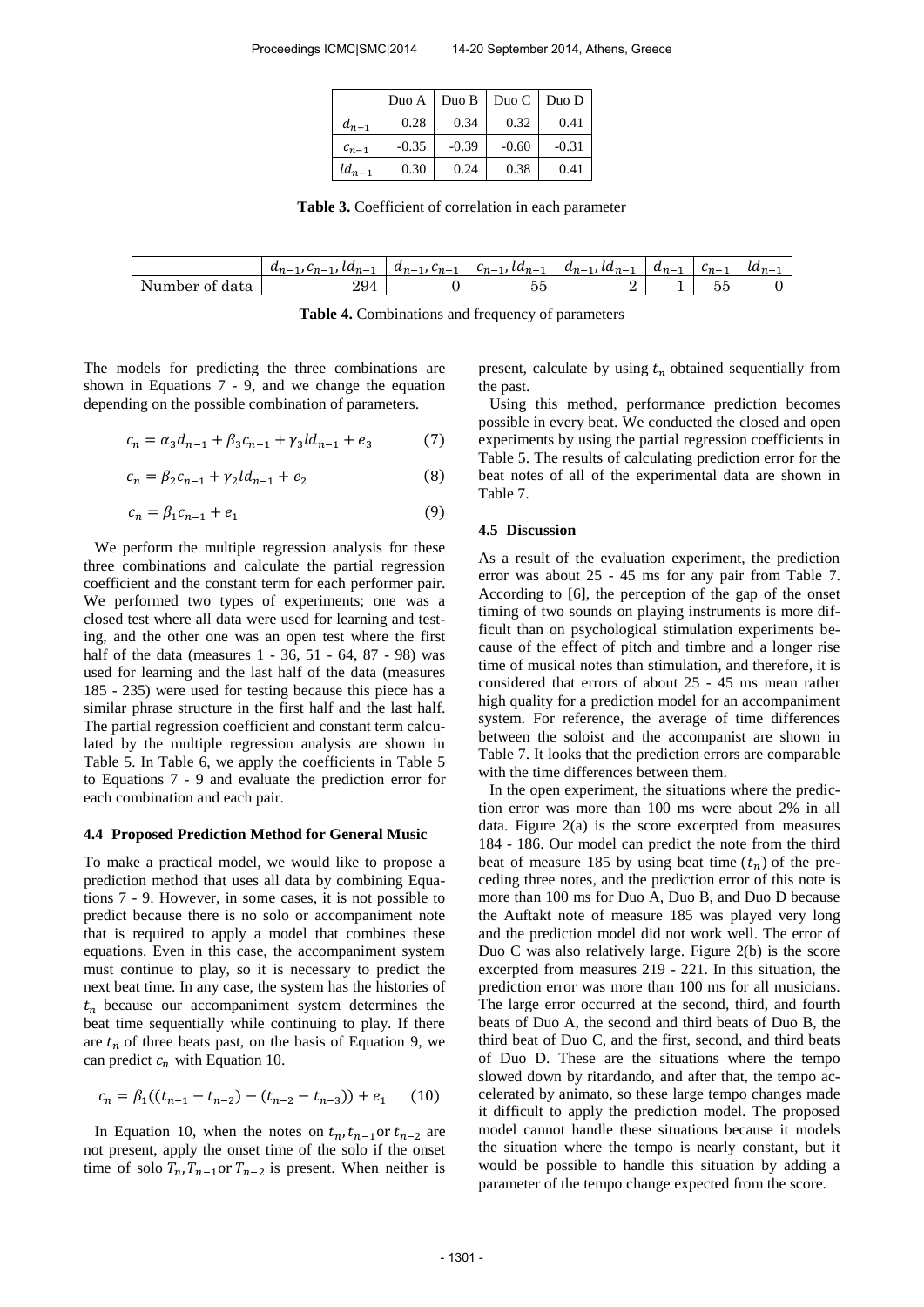|            | Duo A   | Duo B   | $Due C$   $Due D$ |         |
|------------|---------|---------|-------------------|---------|
| $d_{n-1}$  | 0.28    | 0.34    | 0.32              | 0.41    |
| $c_{n-1}$  | $-0.35$ | $-0.39$ | $-0.60$           | $-0.31$ |
| $ld_{n-1}$ | 0.30    | 0.24    | 0.38              | 0.41    |

**Table 3.** Coefficient of correlation in each parameter

|                   | $a_{n-1}, c_{n-1}, a_{n-1}$ | $a_{n-1}, c_{n-1}$ | $c_{n-1}$ , $a_{n-1}$ | $a_{n-1}$ , $a_{n-1}$ | $a_{n-1}$ | . ∟m— <sup>1</sup> | $l a_{n-1}$ |
|-------------------|-----------------------------|--------------------|-----------------------|-----------------------|-----------|--------------------|-------------|
| Number of<br>data | 294                         |                    | - -<br>ບບ             |                       |           | $-$<br>へト<br>ಲ್ಲ   |             |

**Table 4.** Combinations and frequency of parameters

The models for predicting the three combinations are shown in Equations 7 - 9, and we change the equation depending on the possible combination of parameters.

$$
c_n = \alpha_3 d_{n-1} + \beta_3 c_{n-1} + \gamma_3 l d_{n-1} + e_3 \tag{7}
$$

$$
c_n = \beta_2 c_{n-1} + \gamma_2 l d_{n-1} + e_2 \tag{8}
$$

$$
c_n = \beta_1 c_{n-1} + e_1 \tag{9}
$$

We perform the multiple regression analysis for these three combinations and calculate the partial regression coefficient and the constant term for each performer pair. We performed two types of experiments; one was a closed test where all data were used for learning and testing, and the other one was an open test where the first half of the data (measures 1 - 36, 51 - 64, 87 - 98) was used for learning and the last half of the data (measures 185 - 235) were used for testing because this piece has a similar phrase structure in the first half and the last half. The partial regression coefficient and constant term calculated by the multiple regression analysis are shown in Table 5. In Table 6, we apply the coefficients in Table 5 to Equations 7 - 9 and evaluate the prediction error for each combination and each pair.

#### **4.4 Proposed Prediction Method for General Music**

To make a practical model, we would like to propose a prediction method that uses all data by combining Equations 7 - 9. However, in some cases, it is not possible to predict because there is no solo or accompaniment note that is required to apply a model that combines these equations. Even in this case, the accompaniment system must continue to play, so it is necessary to predict the next beat time. In any case, the system has the histories of  $t_n$  because our accompaniment system determines the beat time sequentially while continuing to play. If there are  $t_n$  of three beats past, on the basis of Equation 9, we can predict  $c_n$  with Equation 10.

$$
c_n = \beta_1((t_{n-1} - t_{n-2}) - (t_{n-2} - t_{n-3})) + e_1 \qquad (10)
$$

In Equation 10, when the notes on  $t_n$ ,  $t_{n-1}$  or  $t_{n-2}$  are not present, apply the onset time of the solo if the onset time of solo  $T_n$ ,  $T_{n-1}$  or  $T_{n-2}$  is present. When neither is present, calculate by using  $t_n$  obtained sequentially from the past.

Using this method, performance prediction becomes possible in every beat. We conducted the closed and open experiments by using the partial regression coefficients in Table 5. The results of calculating prediction error for the beat notes of all of the experimental data are shown in Table 7.

#### **4.5 Discussion**

As a result of the evaluation experiment, the prediction error was about 25 - 45 ms for any pair from Table 7. According to [6], the perception of the gap of the onset timing of two sounds on playing instruments is more difficult than on psychological stimulation experiments because of the effect of pitch and timbre and a longer rise time of musical notes than stimulation, and therefore, it is considered that errors of about 25 - 45 ms mean rather high quality for a prediction model for an accompaniment system. For reference, the average of time differences between the soloist and the accompanist are shown in Table 7. It looks that the prediction errors are comparable with the time differences between them.

In the open experiment, the situations where the prediction error was more than 100 ms were about 2% in all data. Figure 2(a) is the score excerpted from measures 184 - 186. Our model can predict the note from the third beat of measure 185 by using beat time  $(t_n)$  of the preceding three notes, and the prediction error of this note is more than 100 ms for Duo A, Duo B, and Duo D because the Auftakt note of measure 185 was played very long and the prediction model did not work well. The error of Duo C was also relatively large. Figure 2(b) is the score excerpted from measures 219 - 221. In this situation, the prediction error was more than 100 ms for all musicians. The large error occurred at the second, third, and fourth beats of Duo A, the second and third beats of Duo B, the third beat of Duo C, and the first, second, and third beats of Duo D. These are the situations where the tempo slowed down by ritardando, and after that, the tempo accelerated by animato, so these large tempo changes made it difficult to apply the prediction model. The proposed model cannot handle these situations because it models the situation where the tempo is nearly constant, but it would be possible to handle this situation by adding a parameter of the tempo change expected from the score.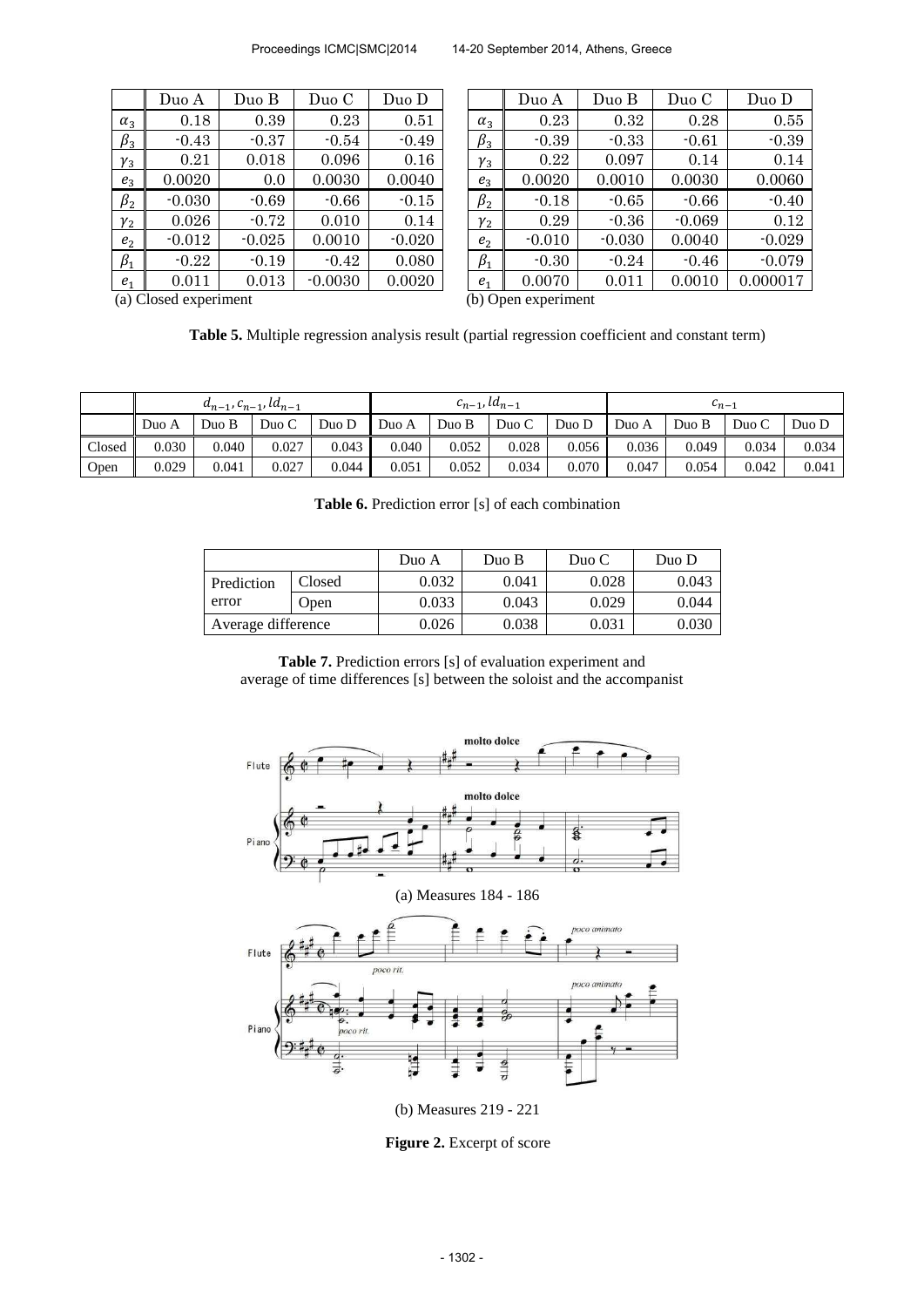|                | Duo A    | Duo B    | Duo C     | Duo D    |
|----------------|----------|----------|-----------|----------|
| $\alpha_3$     | 0.18     | 0.39     | 0.23      | 0.51     |
| $\beta_3$      | $-0.43$  | $-0.37$  | $-0.54$   | $-0.49$  |
| $\gamma_3$     | 0.21     | 0.018    | 0.096     | 0.16     |
| $e_3$          | 0.0020   | 0.0      | 0.0030    | 0.0040   |
| $\beta_2$      | $-0.030$ | $-0.69$  | $-0.66$   | $-0.15$  |
| $\gamma_2$     | 0.026    | $-0.72$  | 0.010     | 0.14     |
| e <sub>2</sub> | $-0.012$ | $-0.025$ | 0.0010    | $-0.020$ |
| $\beta_1$      | $-0.22$  | $-0.19$  | $-0.42$   | 0.080    |
| $e_{1}$        | 0.011    | 0.013    | $-0.0030$ | 0.0020   |

|                | Duo A    | Duo B    | Duo C     | Duo D    |                | Duo A    | Duo B    | Duo C    | Duo D    |
|----------------|----------|----------|-----------|----------|----------------|----------|----------|----------|----------|
| $\alpha_3$     | 0.18     | 0.39     | 0.23      | 0.51     | $\alpha_3$     | 0.23     | 0.32     | 0.28     | 0.55     |
| $\beta_3$      | $-0.43$  | $-0.37$  | $-0.54$   | $-0.49$  | $\beta_3$      | $-0.39$  | $-0.33$  | $-0.61$  | $-0.39$  |
| $\gamma_3$     | 0.21     | 0.018    | 0.096     | 0.16     | $\gamma_3$     | 0.22     | 0.097    | 0.14     | 0.14     |
| $e_3$          | 0.0020   | 0.0      | 0.0030    | 0.0040   | $e_3$          | 0.0020   | 0.0010   | 0.0030   | 0.0060   |
| $\beta_2$      | $-0.030$ | $-0.69$  | $-0.66$   | $-0.15$  | $\beta_2$      | $-0.18$  | $-0.65$  | $-0.66$  | $-0.40$  |
| $\gamma_2$     | 0.026    | $-0.72$  | 0.010     | 0.14     | $\gamma_2$     | 0.29     | $-0.36$  | $-0.069$ | 0.12     |
| e <sub>2</sub> | $-0.012$ | $-0.025$ | 0.0010    | $-0.020$ | e <sub>2</sub> | $-0.010$ | $-0.030$ | 0.0040   | $-0.029$ |
| $\beta_1$      | $-0.22$  | $-0.19$  | $-0.42$   | 0.080    | $\beta_1$      | $-0.30$  | $-0.24$  | $-0.46$  | $-0.079$ |
| e <sub>1</sub> | 0.011    | 0.013    | $-0.0030$ | 0.0020   | e <sub>1</sub> | 0.0070   | 0.011    | 0.0010   | 0.000017 |
|                |          |          |           |          |                |          |          |          |          |

(a) Closed experiment (b) Open experiment

**Table 5.** Multiple regression analysis result (partial regression coefficient and constant term)

|        | $a_{n-1}, c_{n-1}, a_{n-1}$ |       |       | $c_{n-1}$ , $la_{n-1}$ |       |          |       | $n-1$ |       |       |       |       |
|--------|-----------------------------|-------|-------|------------------------|-------|----------|-------|-------|-------|-------|-------|-------|
|        | Duo A                       | Duo B | Due C | Duo D                  | Duo A | B<br>Duo | Duo C | Duo D | Duo A | Duo B | Duo C | Duo D |
| Closed | 0.030                       | 0.040 | 0.027 | 0.043                  | 0.040 | 0.052    | 0.028 | 0.056 | 0.036 | 0.049 | 0.034 | 0.034 |
| Open   | 0.029                       | 0.041 | 0.027 | 0.044                  | 0.051 | 0.052    | 0.034 | 0.070 | 0.047 | 0.054 | 0.042 | 0.041 |

|                    |        | Duo A | Duo B | Duo C | Duo D |
|--------------------|--------|-------|-------|-------|-------|
| Prediction         | Closed | 0.032 | 0.041 | 0.028 | 0.043 |
| error              | Open   | 0.033 | 0.043 | 0.029 | 0.044 |
| Average difference |        | 0.026 | 0.038 | 0.031 | 0.030 |

**Table 6.** Prediction error [s] of each combination

**Table 7.** Prediction errors [s] of evaluation experiment and average of time differences [s] between the soloist and the accompanist



(b) Measures 219 - 221

**Figure 2.** Excerpt of score